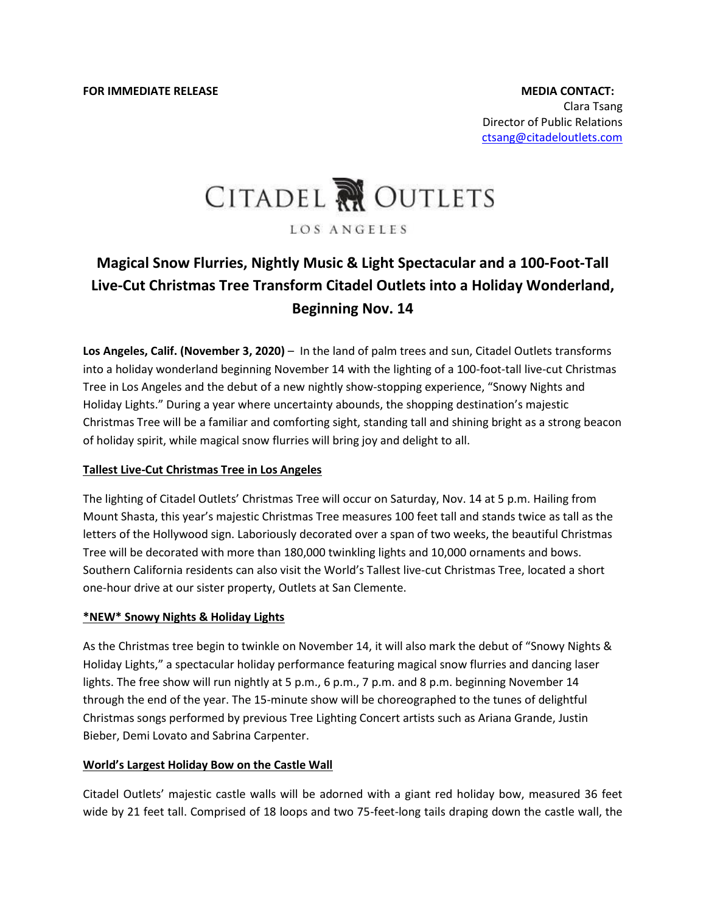# CITADEL RU OUTLETS

LOS ANGELES

# **Magical Snow Flurries, Nightly Music & Light Spectacular and a 100-Foot-Tall Live-Cut Christmas Tree Transform Citadel Outlets into a Holiday Wonderland, Beginning Nov. 14**

**Los Angeles, Calif. (November 3, 2020)** – In the land of palm trees and sun, Citadel Outlets transforms into a holiday wonderland beginning November 14 with the lighting of a 100-foot-tall live-cut Christmas Tree in Los Angeles and the debut of a new nightly show-stopping experience, "Snowy Nights and Holiday Lights." During a year where uncertainty abounds, the shopping destination's majestic Christmas Tree will be a familiar and comforting sight, standing tall and shining bright as a strong beacon of holiday spirit, while magical snow flurries will bring joy and delight to all.

## **Tallest Live-Cut Christmas Tree in Los Angeles**

The lighting of Citadel Outlets' Christmas Tree will occur on Saturday, Nov. 14 at 5 p.m. Hailing from Mount Shasta, this year's majestic Christmas Tree measures 100 feet tall and stands twice as tall as the letters of the Hollywood sign. Laboriously decorated over a span of two weeks, the beautiful Christmas Tree will be decorated with more than 180,000 twinkling lights and 10,000 ornaments and bows. Southern California residents can also visit the World's Tallest live-cut Christmas Tree, located a short one-hour drive at our sister property, Outlets at San Clemente.

## **\*NEW\* Snowy Nights & Holiday Lights**

As the Christmas tree begin to twinkle on November 14, it will also mark the debut of "Snowy Nights & Holiday Lights," a spectacular holiday performance featuring magical snow flurries and dancing laser lights. The free show will run nightly at 5 p.m., 6 p.m., 7 p.m. and 8 p.m. beginning November 14 through the end of the year. The 15-minute show will be choreographed to the tunes of delightful Christmas songs performed by previous Tree Lighting Concert artists such as Ariana Grande, Justin Bieber, Demi Lovato and Sabrina Carpenter.

## **World's Largest Holiday Bow on the Castle Wall**

Citadel Outlets' majestic castle walls will be adorned with a giant red holiday bow, measured 36 feet wide by 21 feet tall. Comprised of 18 loops and two 75-feet-long tails draping down the castle wall, the